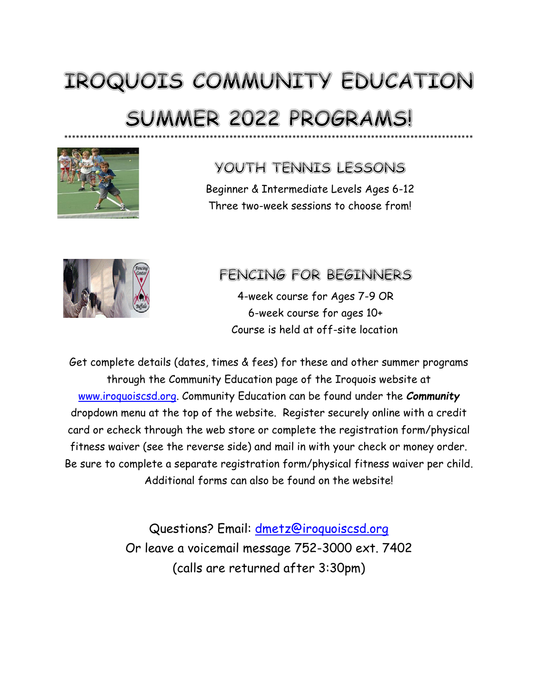# IROQUOIS COMMUNITY EDUCATION **SUMMER 2022 PROGRAMS!** \*\*\*\*\*\*\*\*\*\*\*\*\*\*\*\*\*\*\*\*\*\*\*\*\*\*\*\*\*\*\*\*\*\*\*\*\*\*\*\*\*\*\*\*\*\*\*\*\*\*\*\*\*\*\*\*\*\*\*\*\*\*\*\*\*\*\*\*\*\*\*\*\*\*\*\*\*\*\*\*\*\*\*\*\*\*\*\*\*\*\*\*\*\*\*\*\*\*\*\*\*\*\*\*



## YOUTH TENNIS LESSONS

Beginner & Intermediate Levels Ages 6-12 Three two-week sessions to choose from!



## **FENCING FOR BEGINNERS**

4-week course for Ages 7-9 OR 6-week course for ages 10+ Course is held at off-site location

Get complete details (dates, times & fees) for these and other summer programs through the Community Education page of the Iroquois website at [www.iroquoiscsd.org.](http://www.iroquoiscsd.org/) Community Education can be found under the *Community* dropdown menu at the top of the website. Register securely online with a credit card or echeck through the web store or complete the registration form/physical fitness waiver (see the reverse side) and mail in with your check or money order. Be sure to complete a separate registration form/physical fitness waiver per child. Additional forms can also be found on the website!

> Questions? Email: [dmetz@iroquoiscsd.org](mailto:dmetz@iroquoiscsd.org) Or leave a voicemail message 752-3000 ext. 7402 (calls are returned after 3:30pm)